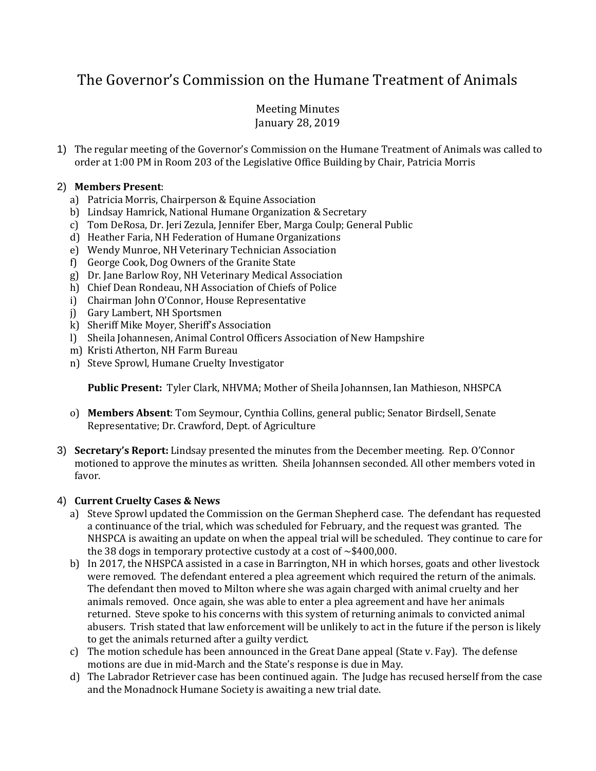# The Governor's Commission on the Humane Treatment of Animals

## Meeting Minutes January 28, 2019

1) The regular meeting of the Governor's Commission on the Humane Treatment of Animals was called to order at 1:00 PM in Room 203 of the Legislative Office Building by Chair, Patricia Morris

### 2) **Members Present**:

- a) Patricia Morris, Chairperson & Equine Association
- b) Lindsay Hamrick, National Humane Organization & Secretary
- c) Tom DeRosa, Dr. Jeri Zezula, Jennifer Eber, Marga Coulp; General Public
- d) Heather Faria, NH Federation of Humane Organizations
- e) Wendy Munroe, NH Veterinary Technician Association
- f) George Cook, Dog Owners of the Granite State
- g) Dr. Jane Barlow Roy, NH Veterinary Medical Association
- h) Chief Dean Rondeau, NH Association of Chiefs of Police
- i) Chairman John O'Connor, House Representative
- j) Gary Lambert, NH Sportsmen
- k) Sheriff Mike Moyer, Sheriff's Association
- l) Sheila Johannesen, Animal Control Officers Association of New Hampshire
- m) Kristi Atherton, NH Farm Bureau
- n) Steve Sprowl, Humane Cruelty Investigator

**Public Present:** Tyler Clark, NHVMA; Mother of Sheila Johannsen, Ian Mathieson, NHSPCA

- o) **Members Absent**: Tom Seymour, Cynthia Collins, general public; Senator Birdsell, Senate Representative; Dr. Crawford, Dept. of Agriculture
- 3) **Secretary's Report:** Lindsay presented the minutes from the December meeting. Rep. O'Connor motioned to approve the minutes as written. Sheila Johannsen seconded. All other members voted in favor.

## 4) **Current Cruelty Cases & News**

- a) Steve Sprowl updated the Commission on the German Shepherd case. The defendant has requested a continuance of the trial, which was scheduled for February, and the request was granted. The NHSPCA is awaiting an update on when the appeal trial will be scheduled. They continue to care for the 38 dogs in temporary protective custody at a cost of  $\sim$ \$400,000.
- b) In 2017, the NHSPCA assisted in a case in Barrington, NH in which horses, goats and other livestock were removed. The defendant entered a plea agreement which required the return of the animals. The defendant then moved to Milton where she was again charged with animal cruelty and her animals removed. Once again, she was able to enter a plea agreement and have her animals returned. Steve spoke to his concerns with this system of returning animals to convicted animal abusers. Trish stated that law enforcement will be unlikely to act in the future if the person is likely to get the animals returned after a guilty verdict.
- c) The motion schedule has been announced in the Great Dane appeal (State v. Fay). The defense motions are due in mid-March and the State's response is due in May.
- d) The Labrador Retriever case has been continued again. The Judge has recused herself from the case and the Monadnock Humane Society is awaiting a new trial date.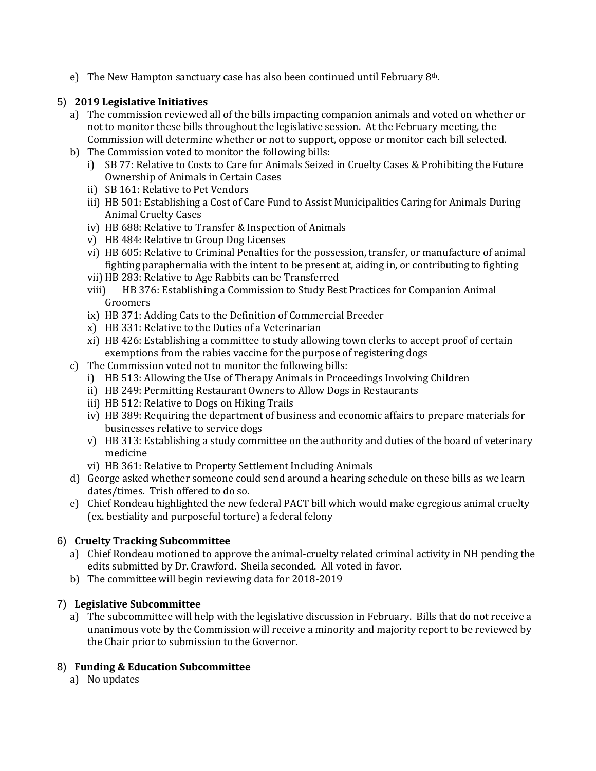e) The New Hampton sanctuary case has also been continued until February 8th.

## 5) **2019 Legislative Initiatives**

- a) The commission reviewed all of the bills impacting companion animals and voted on whether or not to monitor these bills throughout the legislative session. At the February meeting, the Commission will determine whether or not to support, oppose or monitor each bill selected.
- b) The Commission voted to monitor the following bills:
	- i) SB 77: Relative to Costs to Care for Animals Seized in Cruelty Cases & Prohibiting the Future Ownership of Animals in Certain Cases
	- ii) SB 161: Relative to Pet Vendors
	- iii) HB 501: Establishing a Cost of Care Fund to Assist Municipalities Caring for Animals During Animal Cruelty Cases
	- iv) HB 688: Relative to Transfer & Inspection of Animals
	- v) HB 484: Relative to Group Dog Licenses
	- vi) HB 605: Relative to Criminal Penalties for the possession, transfer, or manufacture of animal fighting paraphernalia with the intent to be present at, aiding in, or contributing to fighting
	- vii) HB 283: Relative to Age Rabbits can be Transferred
	- viii) HB 376: Establishing a Commission to Study Best Practices for Companion Animal Groomers
	- ix) HB 371: Adding Cats to the Definition of Commercial Breeder
	- x) HB 331: Relative to the Duties of a Veterinarian
	- xi) HB 426: Establishing a committee to study allowing town clerks to accept proof of certain exemptions from the rabies vaccine for the purpose of registering dogs
- c) The Commission voted not to monitor the following bills:
	- i) HB 513: Allowing the Use of Therapy Animals in Proceedings Involving Children
	- ii) HB 249: Permitting Restaurant Owners to Allow Dogs in Restaurants
	- iii) HB 512: Relative to Dogs on Hiking Trails
	- iv) HB 389: Requiring the department of business and economic affairs to prepare materials for businesses relative to service dogs
	- v) HB 313: Establishing a study committee on the authority and duties of the board of veterinary medicine
	- vi) HB 361: Relative to Property Settlement Including Animals
- d) George asked whether someone could send around a hearing schedule on these bills as we learn dates/times. Trish offered to do so.
- e) Chief Rondeau highlighted the new federal PACT bill which would make egregious animal cruelty (ex. bestiality and purposeful torture) a federal felony

## 6) **Cruelty Tracking Subcommittee**

- a) Chief Rondeau motioned to approve the animal-cruelty related criminal activity in NH pending the edits submitted by Dr. Crawford. Sheila seconded. All voted in favor.
- b) The committee will begin reviewing data for 2018-2019

## 7) **Legislative Subcommittee**

a) The subcommittee will help with the legislative discussion in February. Bills that do not receive a unanimous vote by the Commission will receive a minority and majority report to be reviewed by the Chair prior to submission to the Governor.

## 8) **Funding & Education Subcommittee**

a) No updates